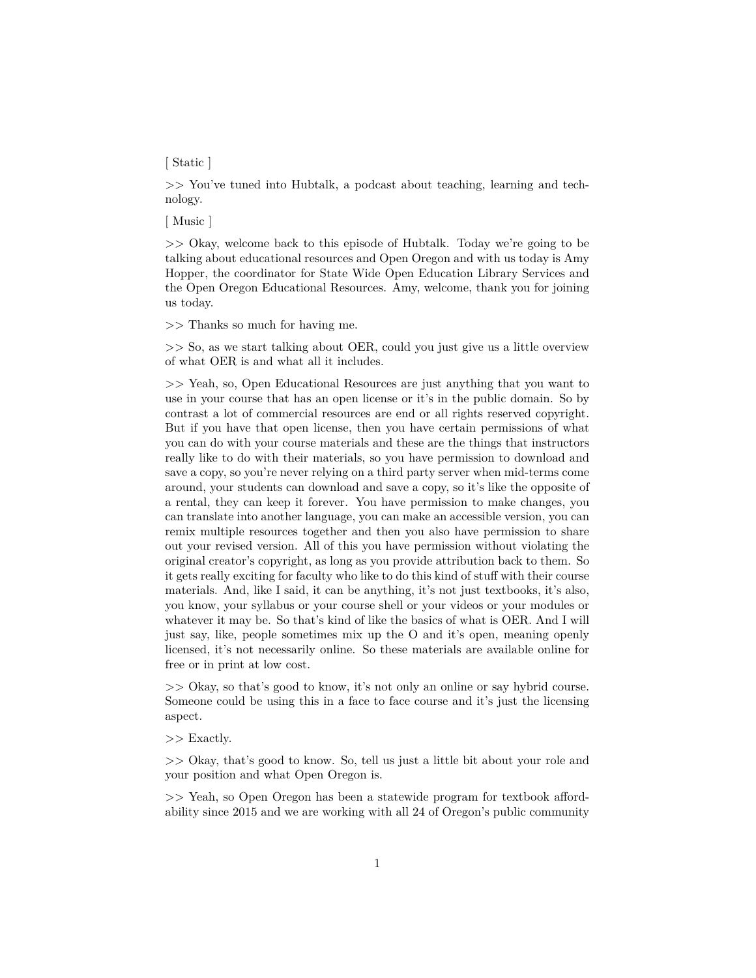## [ Static ]

>> You've tuned into Hubtalk, a podcast about teaching, learning and technology.

[ Music ]

>> Okay, welcome back to this episode of Hubtalk. Today we're going to be talking about educational resources and Open Oregon and with us today is Amy Hopper, the coordinator for State Wide Open Education Library Services and the Open Oregon Educational Resources. Amy, welcome, thank you for joining us today.

>> Thanks so much for having me.

>> So, as we start talking about OER, could you just give us a little overview of what OER is and what all it includes.

>> Yeah, so, Open Educational Resources are just anything that you want to use in your course that has an open license or it's in the public domain. So by contrast a lot of commercial resources are end or all rights reserved copyright. But if you have that open license, then you have certain permissions of what you can do with your course materials and these are the things that instructors really like to do with their materials, so you have permission to download and save a copy, so you're never relying on a third party server when mid-terms come around, your students can download and save a copy, so it's like the opposite of a rental, they can keep it forever. You have permission to make changes, you can translate into another language, you can make an accessible version, you can remix multiple resources together and then you also have permission to share out your revised version. All of this you have permission without violating the original creator's copyright, as long as you provide attribution back to them. So it gets really exciting for faculty who like to do this kind of stuff with their course materials. And, like I said, it can be anything, it's not just textbooks, it's also, you know, your syllabus or your course shell or your videos or your modules or whatever it may be. So that's kind of like the basics of what is OER. And I will just say, like, people sometimes mix up the O and it's open, meaning openly licensed, it's not necessarily online. So these materials are available online for free or in print at low cost.

>> Okay, so that's good to know, it's not only an online or say hybrid course. Someone could be using this in a face to face course and it's just the licensing aspect.

>> Exactly.

>> Okay, that's good to know. So, tell us just a little bit about your role and your position and what Open Oregon is.

>> Yeah, so Open Oregon has been a statewide program for textbook affordability since 2015 and we are working with all 24 of Oregon's public community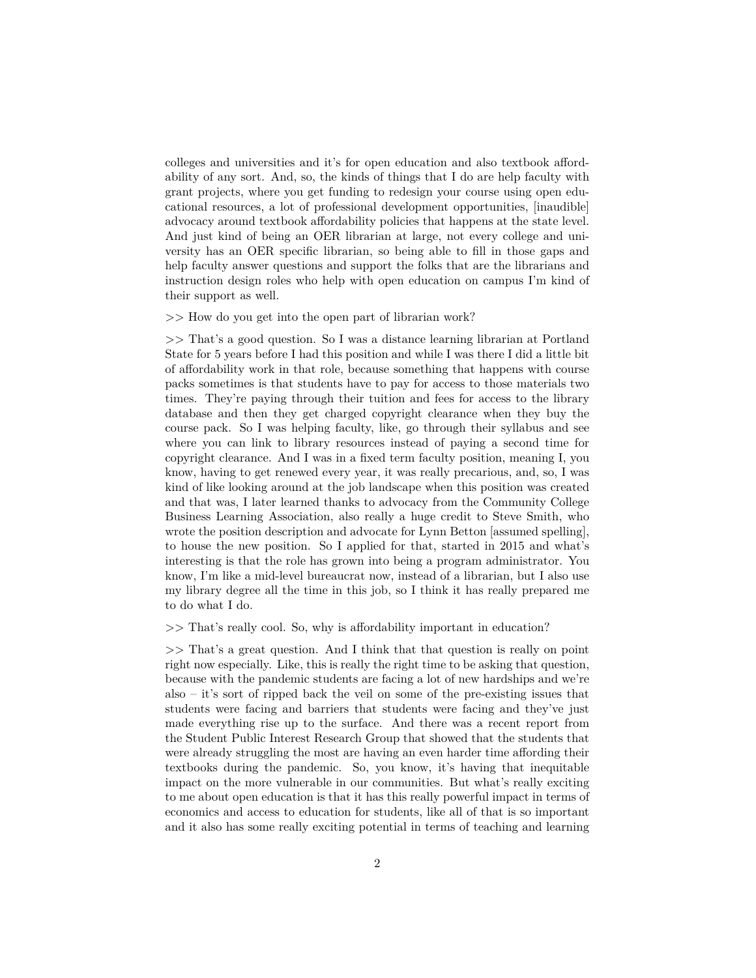colleges and universities and it's for open education and also textbook affordability of any sort. And, so, the kinds of things that I do are help faculty with grant projects, where you get funding to redesign your course using open educational resources, a lot of professional development opportunities, [inaudible] advocacy around textbook affordability policies that happens at the state level. And just kind of being an OER librarian at large, not every college and university has an OER specific librarian, so being able to fill in those gaps and help faculty answer questions and support the folks that are the librarians and instruction design roles who help with open education on campus I'm kind of their support as well.

>> How do you get into the open part of librarian work?

>> That's a good question. So I was a distance learning librarian at Portland State for 5 years before I had this position and while I was there I did a little bit of affordability work in that role, because something that happens with course packs sometimes is that students have to pay for access to those materials two times. They're paying through their tuition and fees for access to the library database and then they get charged copyright clearance when they buy the course pack. So I was helping faculty, like, go through their syllabus and see where you can link to library resources instead of paying a second time for copyright clearance. And I was in a fixed term faculty position, meaning I, you know, having to get renewed every year, it was really precarious, and, so, I was kind of like looking around at the job landscape when this position was created and that was, I later learned thanks to advocacy from the Community College Business Learning Association, also really a huge credit to Steve Smith, who wrote the position description and advocate for Lynn Betton [assumed spelling], to house the new position. So I applied for that, started in 2015 and what's interesting is that the role has grown into being a program administrator. You know, I'm like a mid-level bureaucrat now, instead of a librarian, but I also use my library degree all the time in this job, so I think it has really prepared me to do what I do.

>> That's really cool. So, why is affordability important in education?

>> That's a great question. And I think that that question is really on point right now especially. Like, this is really the right time to be asking that question, because with the pandemic students are facing a lot of new hardships and we're also – it's sort of ripped back the veil on some of the pre-existing issues that students were facing and barriers that students were facing and they've just made everything rise up to the surface. And there was a recent report from the Student Public Interest Research Group that showed that the students that were already struggling the most are having an even harder time affording their textbooks during the pandemic. So, you know, it's having that inequitable impact on the more vulnerable in our communities. But what's really exciting to me about open education is that it has this really powerful impact in terms of economics and access to education for students, like all of that is so important and it also has some really exciting potential in terms of teaching and learning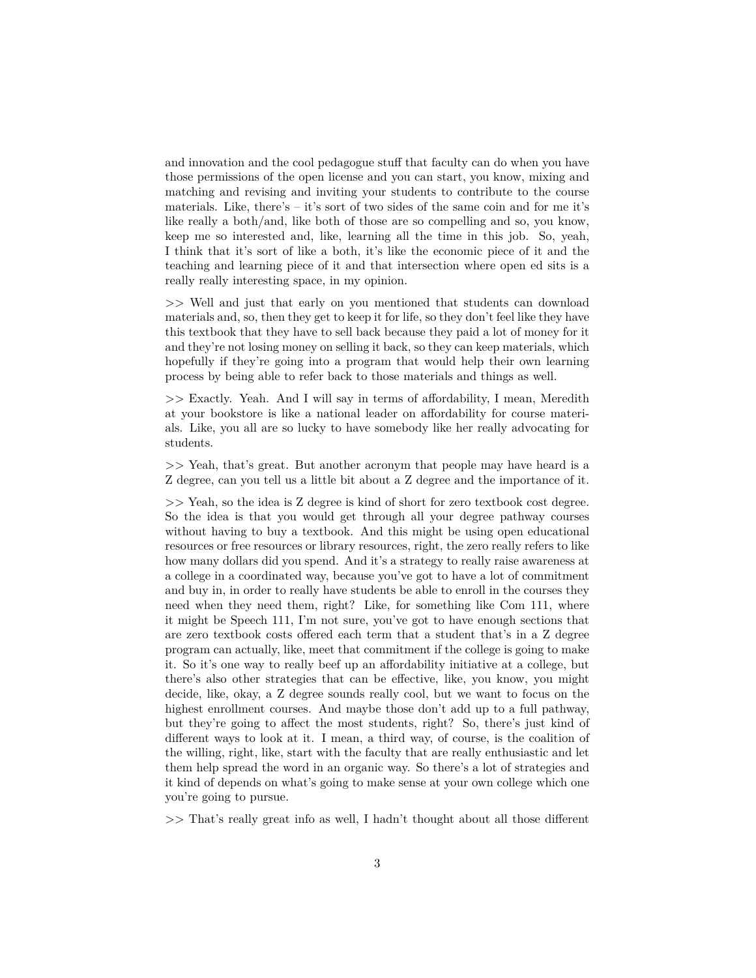and innovation and the cool pedagogue stuff that faculty can do when you have those permissions of the open license and you can start, you know, mixing and matching and revising and inviting your students to contribute to the course materials. Like, there's – it's sort of two sides of the same coin and for me it's like really a both/and, like both of those are so compelling and so, you know, keep me so interested and, like, learning all the time in this job. So, yeah, I think that it's sort of like a both, it's like the economic piece of it and the teaching and learning piece of it and that intersection where open ed sits is a really really interesting space, in my opinion.

>> Well and just that early on you mentioned that students can download materials and, so, then they get to keep it for life, so they don't feel like they have this textbook that they have to sell back because they paid a lot of money for it and they're not losing money on selling it back, so they can keep materials, which hopefully if they're going into a program that would help their own learning process by being able to refer back to those materials and things as well.

>> Exactly. Yeah. And I will say in terms of affordability, I mean, Meredith at your bookstore is like a national leader on affordability for course materials. Like, you all are so lucky to have somebody like her really advocating for students.

>> Yeah, that's great. But another acronym that people may have heard is a Z degree, can you tell us a little bit about a Z degree and the importance of it.

>> Yeah, so the idea is Z degree is kind of short for zero textbook cost degree. So the idea is that you would get through all your degree pathway courses without having to buy a textbook. And this might be using open educational resources or free resources or library resources, right, the zero really refers to like how many dollars did you spend. And it's a strategy to really raise awareness at a college in a coordinated way, because you've got to have a lot of commitment and buy in, in order to really have students be able to enroll in the courses they need when they need them, right? Like, for something like Com 111, where it might be Speech 111, I'm not sure, you've got to have enough sections that are zero textbook costs offered each term that a student that's in a Z degree program can actually, like, meet that commitment if the college is going to make it. So it's one way to really beef up an affordability initiative at a college, but there's also other strategies that can be effective, like, you know, you might decide, like, okay, a Z degree sounds really cool, but we want to focus on the highest enrollment courses. And maybe those don't add up to a full pathway, but they're going to affect the most students, right? So, there's just kind of different ways to look at it. I mean, a third way, of course, is the coalition of the willing, right, like, start with the faculty that are really enthusiastic and let them help spread the word in an organic way. So there's a lot of strategies and it kind of depends on what's going to make sense at your own college which one you're going to pursue.

>> That's really great info as well, I hadn't thought about all those different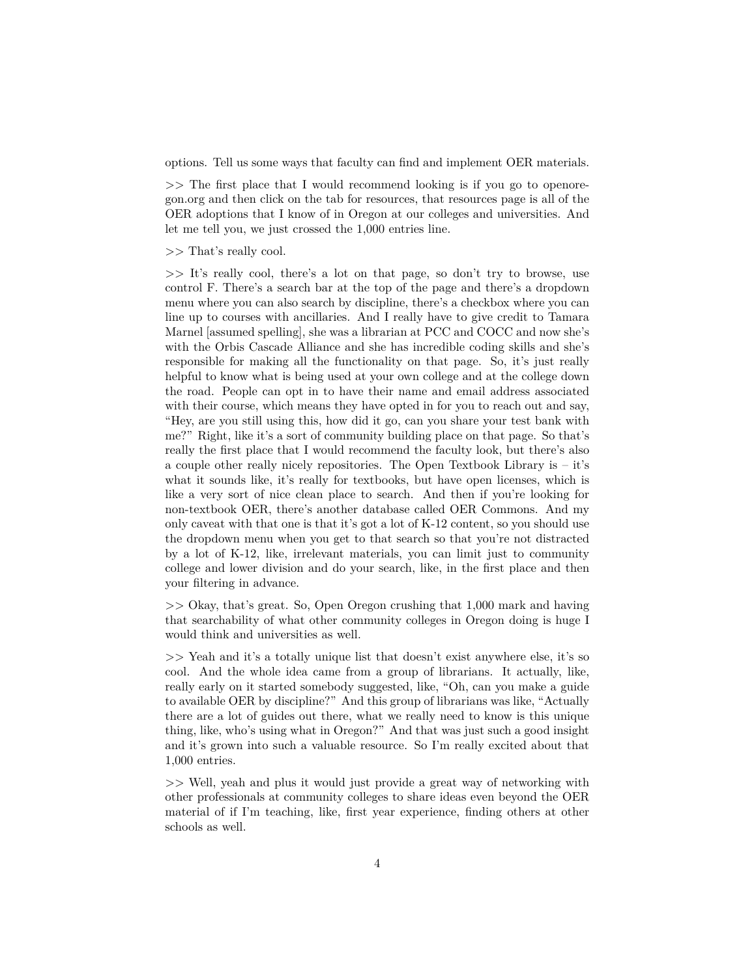options. Tell us some ways that faculty can find and implement OER materials.

>> The first place that I would recommend looking is if you go to openoregon.org and then click on the tab for resources, that resources page is all of the OER adoptions that I know of in Oregon at our colleges and universities. And let me tell you, we just crossed the 1,000 entries line.

>> That's really cool.

>> It's really cool, there's a lot on that page, so don't try to browse, use control F. There's a search bar at the top of the page and there's a dropdown menu where you can also search by discipline, there's a checkbox where you can line up to courses with ancillaries. And I really have to give credit to Tamara Marnel [assumed spelling], she was a librarian at PCC and COCC and now she's with the Orbis Cascade Alliance and she has incredible coding skills and she's responsible for making all the functionality on that page. So, it's just really helpful to know what is being used at your own college and at the college down the road. People can opt in to have their name and email address associated with their course, which means they have opted in for you to reach out and say, "Hey, are you still using this, how did it go, can you share your test bank with me?" Right, like it's a sort of community building place on that page. So that's really the first place that I would recommend the faculty look, but there's also a couple other really nicely repositories. The Open Textbook Library is – it's what it sounds like, it's really for textbooks, but have open licenses, which is like a very sort of nice clean place to search. And then if you're looking for non-textbook OER, there's another database called OER Commons. And my only caveat with that one is that it's got a lot of K-12 content, so you should use the dropdown menu when you get to that search so that you're not distracted by a lot of K-12, like, irrelevant materials, you can limit just to community college and lower division and do your search, like, in the first place and then your filtering in advance.

>> Okay, that's great. So, Open Oregon crushing that 1,000 mark and having that searchability of what other community colleges in Oregon doing is huge I would think and universities as well.

>> Yeah and it's a totally unique list that doesn't exist anywhere else, it's so cool. And the whole idea came from a group of librarians. It actually, like, really early on it started somebody suggested, like, "Oh, can you make a guide to available OER by discipline?" And this group of librarians was like, "Actually there are a lot of guides out there, what we really need to know is this unique thing, like, who's using what in Oregon?" And that was just such a good insight and it's grown into such a valuable resource. So I'm really excited about that 1,000 entries.

>> Well, yeah and plus it would just provide a great way of networking with other professionals at community colleges to share ideas even beyond the OER material of if I'm teaching, like, first year experience, finding others at other schools as well.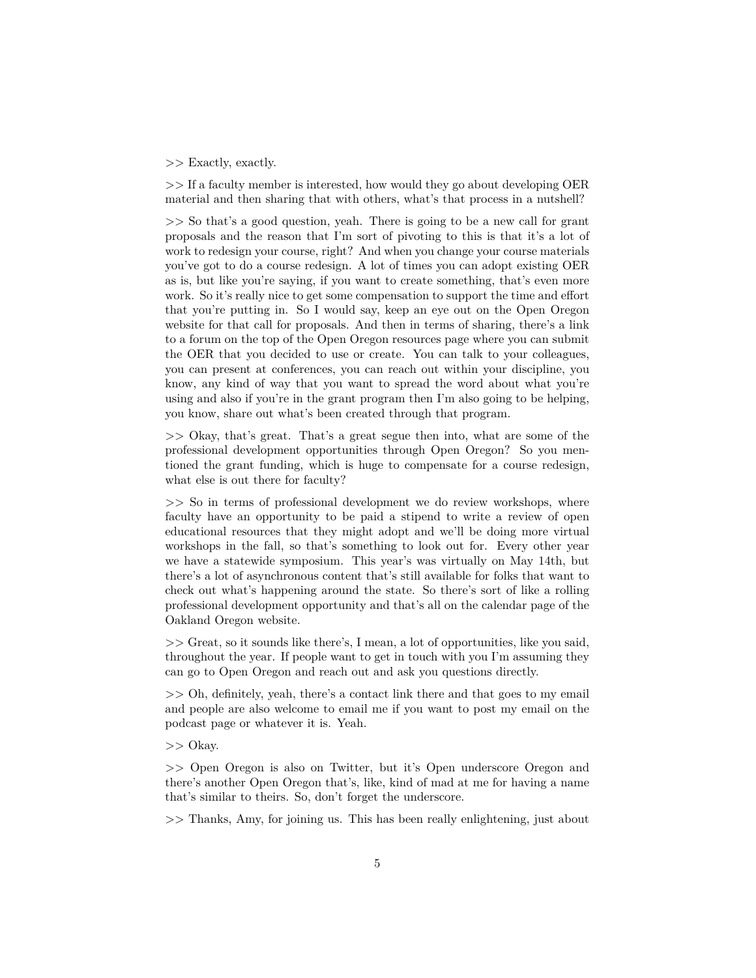## >> Exactly, exactly.

>> If a faculty member is interested, how would they go about developing OER material and then sharing that with others, what's that process in a nutshell?

>> So that's a good question, yeah. There is going to be a new call for grant proposals and the reason that I'm sort of pivoting to this is that it's a lot of work to redesign your course, right? And when you change your course materials you've got to do a course redesign. A lot of times you can adopt existing OER as is, but like you're saying, if you want to create something, that's even more work. So it's really nice to get some compensation to support the time and effort that you're putting in. So I would say, keep an eye out on the Open Oregon website for that call for proposals. And then in terms of sharing, there's a link to a forum on the top of the Open Oregon resources page where you can submit the OER that you decided to use or create. You can talk to your colleagues, you can present at conferences, you can reach out within your discipline, you know, any kind of way that you want to spread the word about what you're using and also if you're in the grant program then I'm also going to be helping, you know, share out what's been created through that program.

>> Okay, that's great. That's a great segue then into, what are some of the professional development opportunities through Open Oregon? So you mentioned the grant funding, which is huge to compensate for a course redesign, what else is out there for faculty?

>> So in terms of professional development we do review workshops, where faculty have an opportunity to be paid a stipend to write a review of open educational resources that they might adopt and we'll be doing more virtual workshops in the fall, so that's something to look out for. Every other year we have a statewide symposium. This year's was virtually on May 14th, but there's a lot of asynchronous content that's still available for folks that want to check out what's happening around the state. So there's sort of like a rolling professional development opportunity and that's all on the calendar page of the Oakland Oregon website.

>> Great, so it sounds like there's, I mean, a lot of opportunities, like you said, throughout the year. If people want to get in touch with you I'm assuming they can go to Open Oregon and reach out and ask you questions directly.

>> Oh, definitely, yeah, there's a contact link there and that goes to my email and people are also welcome to email me if you want to post my email on the podcast page or whatever it is. Yeah.

>> Okay.

>> Open Oregon is also on Twitter, but it's Open underscore Oregon and there's another Open Oregon that's, like, kind of mad at me for having a name that's similar to theirs. So, don't forget the underscore.

>> Thanks, Amy, for joining us. This has been really enlightening, just about